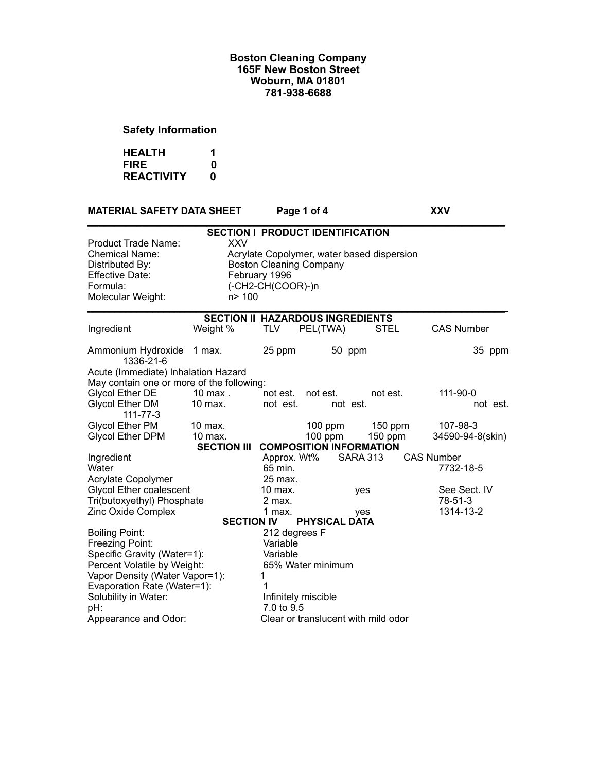# **Safety Information**

| <b>HEALTH</b>     |   |
|-------------------|---|
| <b>FIRE</b>       | 0 |
| <b>REACTIVITY</b> | n |

| <b>MATERIAL SAFETY DATA SHEET</b>                                                                                                 |                      |                                                                      | Page 1 of 4                                |             | <b>XXV</b>           |
|-----------------------------------------------------------------------------------------------------------------------------------|----------------------|----------------------------------------------------------------------|--------------------------------------------|-------------|----------------------|
|                                                                                                                                   |                      |                                                                      | <b>SECTION I PRODUCT IDENTIFICATION</b>    |             |                      |
| <b>Product Trade Name:</b><br><b>Chemical Name:</b><br>Distributed By:<br><b>Effective Date:</b><br>Formula:<br>Molecular Weight: | <b>XXV</b><br>n> 100 | <b>Boston Cleaning Company</b><br>February 1996<br>(-CH2-CH(COOR)-)n | Acrylate Copolymer, water based dispersion |             |                      |
|                                                                                                                                   |                      |                                                                      | <b>SECTION II HAZARDOUS INGREDIENTS</b>    |             |                      |
| Ingredient                                                                                                                        | Weight %             | <b>TLV</b>                                                           | PEL(TWA)                                   | <b>STEL</b> | <b>CAS Number</b>    |
| Ammonium Hydroxide<br>1336-21-6                                                                                                   | 1 max.               | 25 ppm                                                               | 50 ppm                                     |             | 35 ppm               |
| Acute (Immediate) Inhalation Hazard                                                                                               |                      |                                                                      |                                            |             |                      |
| May contain one or more of the following:                                                                                         |                      |                                                                      |                                            | not est.    |                      |
| <b>Glycol Ether DE</b><br><b>Glycol Ether DM</b><br>$111 - 77 - 3$                                                                | $10$ max.<br>10 max. | not est.<br>not est.                                                 | not est.<br>not est.                       |             | 111-90-0<br>not est. |
| Glycol Ether PM                                                                                                                   | $10$ max.            |                                                                      | $100$ ppm                                  | 150 ppm     | 107-98-3             |
| <b>Glycol Ether DPM</b>                                                                                                           | 10 max.              |                                                                      | 100 ppm                                    | $150$ ppm   | 34590-94-8(skin)     |
|                                                                                                                                   |                      |                                                                      | SECTION III COMPOSITION INFORMATION        |             |                      |
| Ingredient                                                                                                                        |                      | Approx. Wt%                                                          | <b>SARA 313</b>                            |             | <b>CAS Number</b>    |
| Water                                                                                                                             |                      | 65 min.                                                              |                                            |             | 7732-18-5            |
| Acrylate Copolymer                                                                                                                |                      | 25 max.                                                              |                                            |             |                      |
| <b>Glycol Ether coalescent</b>                                                                                                    |                      | 10 max.                                                              | yes                                        |             | See Sect. IV         |
| Tri(butoxyethyl) Phosphate                                                                                                        |                      | 2 max.                                                               |                                            |             | 78-51-3              |
| Zinc Oxide Complex                                                                                                                |                      | 1 max.                                                               | yes                                        |             | 1314-13-2            |
|                                                                                                                                   |                      | <b>SECTION IV</b>                                                    | <b>PHYSICAL DATA</b>                       |             |                      |
| <b>Boiling Point:</b>                                                                                                             |                      | 212 degrees F                                                        |                                            |             |                      |
| Freezing Point:<br>Specific Gravity (Water=1):                                                                                    |                      | Variable<br>Variable                                                 |                                            |             |                      |
| Percent Volatile by Weight:                                                                                                       |                      |                                                                      | 65% Water minimum                          |             |                      |
| Vapor Density (Water Vapor=1):                                                                                                    |                      | 1                                                                    |                                            |             |                      |
| Evaporation Rate (Water=1):                                                                                                       |                      | 1                                                                    |                                            |             |                      |
| Solubility in Water:                                                                                                              |                      |                                                                      | Infinitely miscible                        |             |                      |
| pH:                                                                                                                               |                      | 7.0 to 9.5                                                           |                                            |             |                      |
| Appearance and Odor:                                                                                                              |                      |                                                                      | Clear or translucent with mild odor        |             |                      |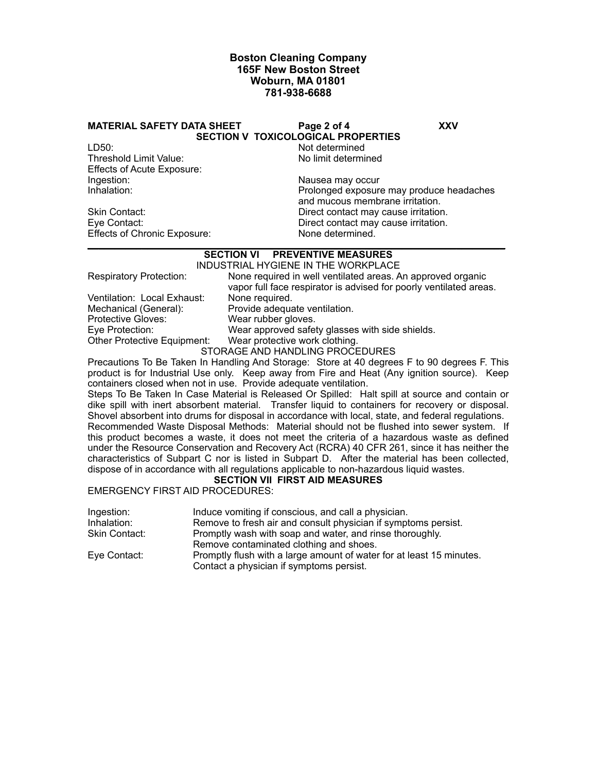#### **MATERIAL SAFETY DATA SHEET Page 2 of 4 XXV**

**SECTION V TOXICOLOGICAL PROPERTIES**

LD50: Not determined Threshold Limit Value: Effects of Acute Exposure: Ingestion: Nausea may occur<br>
Inhalation: Nausea may occur<br>
Prolonged exposure

Effects of Chronic Exposure: None determined.

Prolonged exposure may produce headaches and mucous membrane irritation. Skin Contact: Skin Contact: Direct contact may cause irritation.<br>
Eve Contact: Direct contact may cause irritation. Direct contact may cause irritation.

#### **\_\_\_\_\_\_\_\_\_\_\_\_\_\_\_\_\_\_\_\_\_\_\_\_\_\_\_\_\_\_\_\_\_\_\_\_\_\_\_\_\_\_\_\_\_\_\_\_\_\_\_\_\_\_\_\_\_\_\_\_\_\_\_\_\_\_\_\_\_\_\_\_\_\_\_\_\_ SECTION VI PREVENTIVE MEASURES**

|                                | INDUSTRIAL HYGIENE IN THE WORKPLACE                                                                                               |
|--------------------------------|-----------------------------------------------------------------------------------------------------------------------------------|
| <b>Respiratory Protection:</b> | None required in well ventilated areas. An approved organic<br>vapor full face respirator is advised for poorly ventilated areas. |
| Ventilation: Local Exhaust:    | None required.                                                                                                                    |
|                                |                                                                                                                                   |
| Mechanical (General):          | Provide adequate ventilation.                                                                                                     |
| <b>Protective Gloves:</b>      | Wear rubber gloves.                                                                                                               |
| Eye Protection:                | Wear approved safety glasses with side shields.                                                                                   |
| Other Protective Equipment:    | Wear protective work clothing.                                                                                                    |
|                                | STORAGE AND HANDLING PROCEDURES                                                                                                   |

Precautions To Be Taken In Handling And Storage: Store at 40 degrees F to 90 degrees F. This product is for Industrial Use only. Keep away from Fire and Heat (Any ignition source). Keep containers closed when not in use. Provide adequate ventilation.

Steps To Be Taken In Case Material is Released Or Spilled: Halt spill at source and contain or dike spill with inert absorbent material. Transfer liquid to containers for recovery or disposal. Shovel absorbent into drums for disposal in accordance with local, state, and federal regulations. Recommended Waste Disposal Methods: Material should not be flushed into sewer system. If this product becomes a waste, it does not meet the criteria of a hazardous waste as defined under the Resource Conservation and Recovery Act (RCRA) 40 CFR 261, since it has neither the characteristics of Subpart C nor is listed in Subpart D. After the material has been collected, dispose of in accordance with all regulations applicable to non-hazardous liquid wastes.

# **SECTION VII FIRST AID MEASURES**

EMERGENCY FIRST AID PROCEDURES:

| Ingestion:    | Induce vomiting if conscious, and call a physician.                  |
|---------------|----------------------------------------------------------------------|
| Inhalation:   | Remove to fresh air and consult physician if symptoms persist.       |
| Skin Contact: | Promptly wash with soap and water, and rinse thoroughly.             |
|               | Remove contaminated clothing and shoes.                              |
| Eye Contact:  | Promptly flush with a large amount of water for at least 15 minutes. |
|               | Contact a physician if symptoms persist.                             |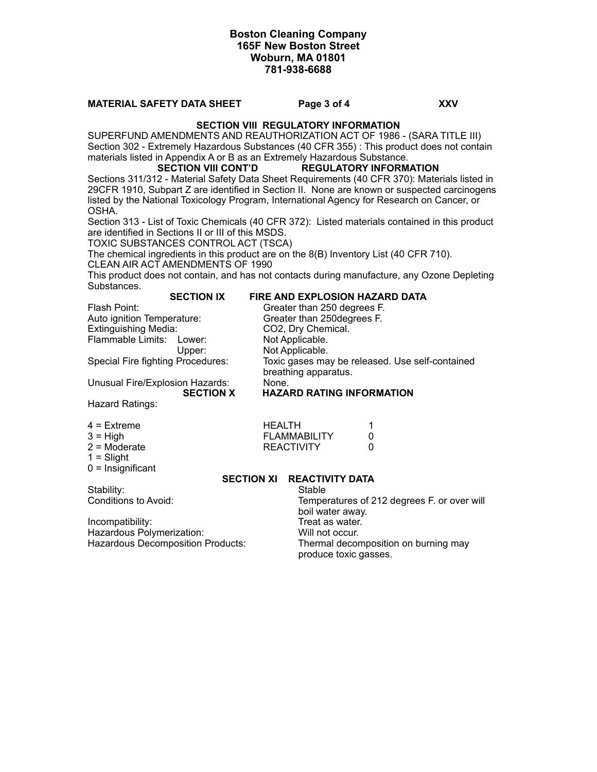# **MATERIAL SAFETY DATA SHEET Page 3 of 4 XXV**

### **SECTION VIII REGULATORY INFORMATION**

SUPERFUND AMENDMENTS AND REAUTHORIZATION ACT OF 1986 - (SARA TITLE III) Section 302 - Extremely Hazardous Substances (40 CFR 355) : This product does not contain materials listed in Appendix A or B as an Extremely Hazardous Substance.

### **SECTION VIII CONT'D REGULATORY INFORMATION**

Sections 311/312 - Material Safety Data Sheet Requirements (40 CFR 370): Materials listed in 29CFR 1910, Subpart Z are identified in Section II. None are known or suspected carcinogens listed by the National Toxicology Program, International Agency for Research on Cancer, or OSHA.

Section 313 - List of Toxic Chemicals (40 CFR 372): Listed materials contained in this product are identified in Sections II or III of this MSDS.

TOXIC SUBSTANCES CONTROL ACT (TSCA)

The chemical ingredients in this product are on the 8(B) Inventory List (40 CFR 710).

CLEAN AIR ACT AMENDMENTS OF 1990

This product does not contain, and has not contacts during manufacture, any Ozone Depleting Substances.

#### **SECTION IX FIRE AND EXPLOSION HAZARD DATA** Flash Point: Greater than 250 degrees F.

Auto ignition Temperature: Greater than 250degrees F. Extinguishing Media: CO2, Dry Chemical.<br>
Flammable Limits: Lower: Not Applicable. Flammable Limits: Lower: Upper: Not Applicable.

Unusual Fire/Explosion Hazards: None.

Special Fire fighting Procedures: Toxic gases may be released. Use self-contained breathing apparatus.

#### **SECTION X HAZARD RATING INFORMATION**

Hazard Ratings:

- 4 = Extreme HEALTH 1
- 
- 2 = Moderate 2 = Moderate 2 = Moderate 0
- $1 =$ Slight
- $0 =$  Insignificant

#### **SECTION XI REACTIVITY DATA**

**FLAMMABILITY** 

Stability: Stable<br>Conditions to Avoid: Stable Stable Stable Stable

Incompatibility: Treat as water. Hazardous Polymerization: Will not occur.

Temperatures of 212 degrees F. or over will boil water away. Hazardous Decomposition Products: Thermal decomposition on burning may produce toxic gasses.